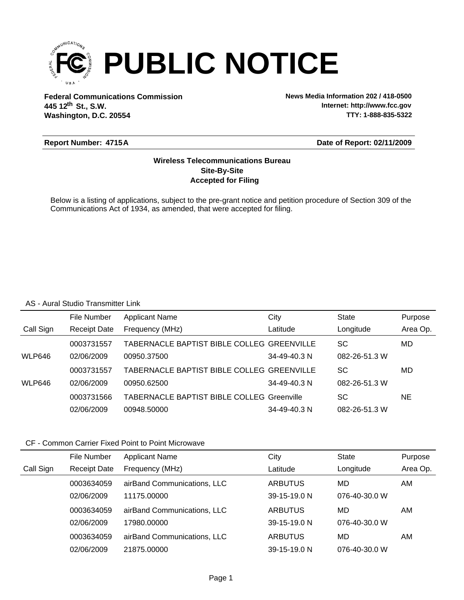

**Federal Communications Commission News Media Information 202 / 418-0500 Washington, D.C. 20554 th 445 12 St., S.W.**

**Internet: http://www.fcc.gov TTY: 1-888-835-5322**

### **Report Number: A 4715**

### **Date of Report: 02/11/2009**

# **Accepted for Filing Site-By-Site Wireless Telecommunications Bureau**

Below is a listing of applications, subject to the pre-grant notice and petition procedure of Section 309 of the Communications Act of 1934, as amended, that were accepted for filing.

#### AS - Aural Studio Transmitter Link

|               | File Number         | <b>Applicant Name</b>                             | City         | State         | Purpose  |
|---------------|---------------------|---------------------------------------------------|--------------|---------------|----------|
| Call Sign     | <b>Receipt Date</b> | Frequency (MHz)                                   | Latitude     | Longitude     | Area Op. |
|               | 0003731557          | TABERNACLE BAPTIST BIBLE COLLEG GREENVILLE        |              | <b>SC</b>     | MD       |
| <b>WLP646</b> | 02/06/2009          | 00950.37500                                       | 34-49-40.3 N | 082-26-51.3 W |          |
|               | 0003731557          | TABERNACLE BAPTIST BIBLE COLLEG GREENVILLE        |              | SC            | MD       |
| <b>WLP646</b> | 02/06/2009          | 00950.62500                                       | 34-49-40.3 N | 082-26-51.3 W |          |
|               | 0003731566          | <b>TABERNACLE BAPTIST BIBLE COLLEG Greenville</b> |              | SC            | NE       |
|               | 02/06/2009          | 00948.50000                                       | 34-49-40.3 N | 082-26-51.3 W |          |

### CF - Common Carrier Fixed Point to Point Microwave

|           | File Number         | <b>Applicant Name</b>       | City               | <b>State</b>  | Purpose  |
|-----------|---------------------|-----------------------------|--------------------|---------------|----------|
| Call Sign | <b>Receipt Date</b> | Frequency (MHz)             | Latitude           | Longitude     | Area Op. |
|           | 0003634059          | airBand Communications, LLC | ARBUTUS            | MD            | AM       |
|           | 02/06/2009          | 11175.00000                 | $39 - 15 - 19.0$ N | 076-40-30.0 W |          |
|           | 0003634059          | airBand Communications, LLC | ARBUTUS            | MD            | AM       |
|           | 02/06/2009          | 17980.00000                 | $39 - 15 - 19.0$ N | 076-40-30.0 W |          |
|           | 0003634059          | airBand Communications, LLC | ARBUTUS            | MD            | AM       |
|           | 02/06/2009          | 21875.00000                 | 39-15-19.0 N       | 076-40-30.0 W |          |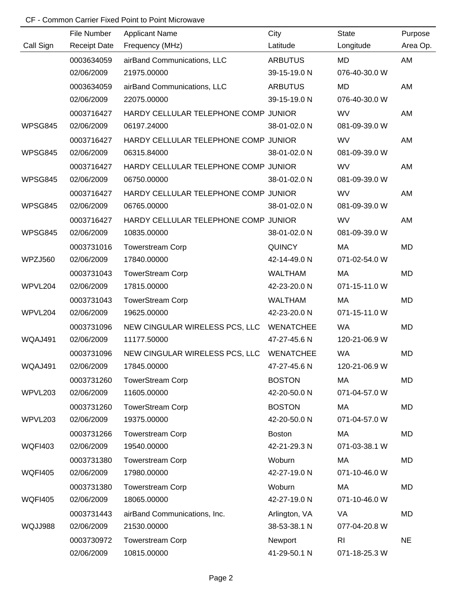# CF - Common Carrier Fixed Point to Point Microwave

|                       | File Number         | <b>Applicant Name</b>                | City             | <b>State</b>   | Purpose   |
|-----------------------|---------------------|--------------------------------------|------------------|----------------|-----------|
| Call Sign             | <b>Receipt Date</b> | Frequency (MHz)                      | Latitude         | Longitude      | Area Op.  |
|                       | 0003634059          | airBand Communications, LLC          | <b>ARBUTUS</b>   | <b>MD</b>      | AM        |
|                       | 02/06/2009          | 21975.00000                          | 39-15-19.0 N     | 076-40-30.0 W  |           |
|                       | 0003634059          | airBand Communications, LLC          | <b>ARBUTUS</b>   | <b>MD</b>      | AM        |
|                       | 02/06/2009          | 22075.00000                          | 39-15-19.0 N     | 076-40-30.0 W  |           |
|                       | 0003716427          | HARDY CELLULAR TELEPHONE COMP JUNIOR |                  | WV             | AM        |
| WPSG845               | 02/06/2009          | 06197.24000                          | 38-01-02.0 N     | 081-09-39.0 W  |           |
|                       | 0003716427          | HARDY CELLULAR TELEPHONE COMP JUNIOR |                  | WV             | AM        |
| WPSG845               | 02/06/2009          | 06315.84000                          | 38-01-02.0 N     | 081-09-39.0 W  |           |
|                       | 0003716427          | HARDY CELLULAR TELEPHONE COMP JUNIOR |                  | WV             | AM        |
| WPSG845               | 02/06/2009          | 06750.00000                          | 38-01-02.0 N     | 081-09-39.0 W  |           |
|                       | 0003716427          | HARDY CELLULAR TELEPHONE COMP JUNIOR |                  | WV             | AM        |
| WPSG845               | 02/06/2009          | 06765.00000                          | 38-01-02.0 N     | 081-09-39.0 W  |           |
|                       | 0003716427          | HARDY CELLULAR TELEPHONE COMP JUNIOR |                  | WV             | AM        |
| WPSG845               | 02/06/2009          | 10835.00000                          | 38-01-02.0 N     | 081-09-39.0 W  |           |
|                       | 0003731016          | <b>Towerstream Corp</b>              | <b>QUINCY</b>    | MA             | MD        |
| WPZJ560               | 02/06/2009          | 17840.00000                          | 42-14-49.0 N     | 071-02-54.0 W  |           |
|                       | 0003731043          | <b>TowerStream Corp</b>              | <b>WALTHAM</b>   | MA             | MD        |
| WPVL204<br>02/06/2009 |                     | 17815.00000                          | 42-23-20.0 N     | 071-15-11.0 W  |           |
|                       | 0003731043          | <b>TowerStream Corp</b>              | <b>WALTHAM</b>   | MA             | MD        |
| WPVL204               | 02/06/2009          | 19625.00000                          | 42-23-20.0 N     | 071-15-11.0 W  |           |
| 0003731096            |                     | NEW CINGULAR WIRELESS PCS, LLC       | <b>WENATCHEE</b> | <b>WA</b>      | MD        |
| WQAJ491               | 02/06/2009          | 11177.50000                          | 47-27-45.6 N     | 120-21-06.9 W  |           |
|                       | 0003731096          | NEW CINGULAR WIRELESS PCS, LLC       | <b>WENATCHEE</b> | <b>WA</b>      | MD        |
| WQAJ491               | 02/06/2009          | 17845.00000                          | 47-27-45.6 N     | 120-21-06.9 W  |           |
|                       | 0003731260          | <b>TowerStream Corp</b>              | <b>BOSTON</b>    | MA             | MD        |
| WPVL203               | 02/06/2009          | 11605.00000                          | 42-20-50.0 N     | 071-04-57.0 W  |           |
|                       | 0003731260          | <b>TowerStream Corp</b>              | <b>BOSTON</b>    | МA             | MD        |
| WPVL203               | 02/06/2009          | 19375.00000                          | 42-20-50.0 N     | 071-04-57.0 W  |           |
|                       | 0003731266          | <b>Towerstream Corp</b>              | <b>Boston</b>    | MA             | MD        |
| <b>WQFI403</b>        | 02/06/2009          | 19540.00000                          | 42-21-29.3 N     | 071-03-38.1 W  |           |
|                       | 0003731380          | <b>Towerstream Corp</b>              | Woburn           | MA             | MD        |
| <b>WQFI405</b>        | 02/06/2009          | 17980.00000                          | 42-27-19.0 N     | 071-10-46.0 W  |           |
|                       | 0003731380          | <b>Towerstream Corp</b>              | Woburn           | MA             | MD        |
| <b>WQFI405</b>        | 02/06/2009          | 18065.00000                          | 42-27-19.0 N     | 071-10-46.0 W  |           |
|                       | 0003731443          | airBand Communications, Inc.         | Arlington, VA    | VA             | MD        |
| WQJJ988               | 02/06/2009          | 21530.00000                          | 38-53-38.1 N     | 077-04-20.8 W  |           |
|                       | 0003730972          | <b>Towerstream Corp</b>              | Newport          | R <sub>l</sub> | <b>NE</b> |
|                       | 02/06/2009          | 10815.00000                          | 41-29-50.1 N     | 071-18-25.3 W  |           |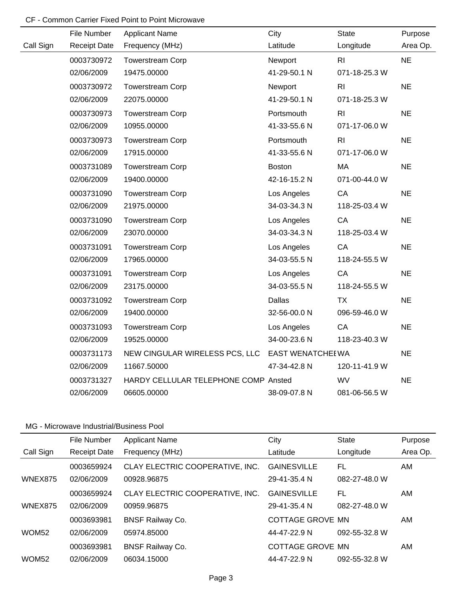# CF - Common Carrier Fixed Point to Point Microwave

|           | File Number         | <b>Applicant Name</b>                | City                     | <b>State</b>   | Purpose   |
|-----------|---------------------|--------------------------------------|--------------------------|----------------|-----------|
| Call Sign | <b>Receipt Date</b> | Frequency (MHz)                      | Latitude                 | Longitude      | Area Op.  |
|           | 0003730972          | <b>Towerstream Corp</b>              | Newport                  | R <sub>l</sub> | <b>NE</b> |
|           | 02/06/2009          | 19475.00000                          | 41-29-50.1 N             | 071-18-25.3 W  |           |
|           | 0003730972          | <b>Towerstream Corp</b>              | Newport                  | R <sub>l</sub> | <b>NE</b> |
|           | 02/06/2009          | 22075.00000                          | 41-29-50.1 N             | 071-18-25.3 W  |           |
|           | 0003730973          | <b>Towerstream Corp</b>              | Portsmouth               | R <sub>l</sub> | <b>NE</b> |
|           | 02/06/2009          | 10955.00000                          | 41-33-55.6 N             | 071-17-06.0 W  |           |
|           | 0003730973          | <b>Towerstream Corp</b>              | Portsmouth               | R <sub>l</sub> | <b>NE</b> |
|           | 02/06/2009          | 17915.00000                          | 41-33-55.6 N             | 071-17-06.0 W  |           |
|           | 0003731089          | <b>Towerstream Corp</b>              | <b>Boston</b>            | MA             | <b>NE</b> |
|           | 02/06/2009          | 19400.00000                          | 42-16-15.2 N             | 071-00-44.0 W  |           |
|           | 0003731090          | <b>Towerstream Corp</b>              | Los Angeles              | CA             | <b>NE</b> |
|           | 02/06/2009          | 21975.00000                          | 34-03-34.3 N             | 118-25-03.4 W  |           |
|           | 0003731090          | Towerstream Corp                     | Los Angeles              | CA             | <b>NE</b> |
|           | 02/06/2009          | 23070.00000                          | 34-03-34.3 N             | 118-25-03.4 W  |           |
|           | 0003731091          | <b>Towerstream Corp</b>              | Los Angeles              | CA             | <b>NE</b> |
|           | 02/06/2009          | 17965.00000                          | 34-03-55.5 N             | 118-24-55.5 W  |           |
|           | 0003731091          | <b>Towerstream Corp</b>              | Los Angeles              | CA             | <b>NE</b> |
|           | 02/06/2009          | 23175.00000                          | 34-03-55.5 N             | 118-24-55.5 W  |           |
|           | 0003731092          | <b>Towerstream Corp</b>              | <b>Dallas</b>            | <b>TX</b>      | <b>NE</b> |
|           | 02/06/2009          | 19400.00000                          | 32-56-00.0 N             | 096-59-46.0 W  |           |
|           | 0003731093          | <b>Towerstream Corp</b>              | Los Angeles              | CA             | <b>NE</b> |
|           | 02/06/2009          | 19525.00000                          | 34-00-23.6 N             | 118-23-40.3 W  |           |
|           | 0003731173          | NEW CINGULAR WIRELESS PCS, LLC       | <b>EAST WENATCHEI WA</b> |                | <b>NE</b> |
|           | 02/06/2009          | 11667.50000                          | 47-34-42.8 N             | 120-11-41.9 W  |           |
|           | 0003731327          | HARDY CELLULAR TELEPHONE COMP Ansted |                          | <b>WV</b>      | <b>NE</b> |
|           | 02/06/2009          | 06605.00000                          | 38-09-07.8 N             | 081-06-56.5 W  |           |

|                   | File Number         | <b>Applicant Name</b>           | City               | <b>State</b>  | Purpose  |
|-------------------|---------------------|---------------------------------|--------------------|---------------|----------|
| Call Sign         | <b>Receipt Date</b> | Frequency (MHz)                 | Latitude           | Longitude     | Area Op. |
|                   | 0003659924          | CLAY ELECTRIC COOPERATIVE, INC. | <b>GAINESVILLE</b> | FL            | AM       |
| WNEX875           | 02/06/2009          | 00928.96875                     | 29-41-35.4 N       | 082-27-48.0 W |          |
|                   | 0003659924          | CLAY ELECTRIC COOPERATIVE, INC. | <b>GAINESVILLE</b> | FL            | AM.      |
| WNEX875           | 02/06/2009          | 00959.96875                     | 29-41-35.4 N       | 082-27-48.0 W |          |
|                   | 0003693981          | <b>BNSF Railway Co.</b>         | COTTAGE GROVE MN   |               | AM       |
| WOM <sub>52</sub> | 02/06/2009          | 05974.85000                     | 44-47-22.9 N       | 092-55-32.8 W |          |
|                   | 0003693981          | <b>BNSF Railway Co.</b>         | COTTAGE GROVE MN   |               | AM.      |
| WOM <sub>52</sub> | 02/06/2009          | 06034.15000                     | 44-47-22.9 N       | 092-55-32.8 W |          |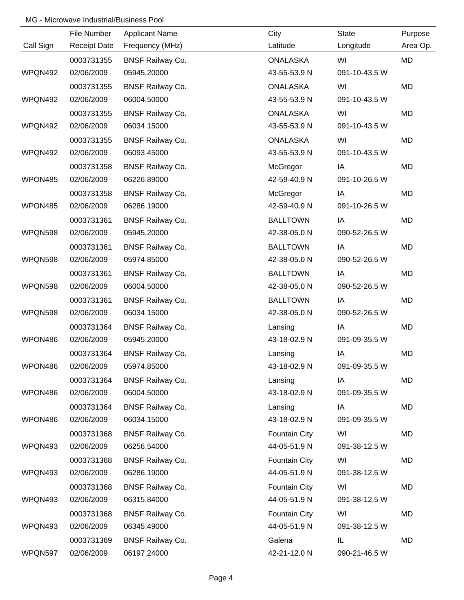|           | File Number         | <b>Applicant Name</b>   | City                 | <b>State</b>  | Purpose  |
|-----------|---------------------|-------------------------|----------------------|---------------|----------|
| Call Sign | <b>Receipt Date</b> | Frequency (MHz)         | Latitude             | Longitude     | Area Op. |
|           | 0003731355          | <b>BNSF Railway Co.</b> | <b>ONALASKA</b>      | WI            | MD       |
| WPQN492   | 02/06/2009          | 05945.20000             | 43-55-53.9 N         | 091-10-43.5 W |          |
|           | 0003731355          | <b>BNSF Railway Co.</b> | <b>ONALASKA</b>      | WI            | MD       |
| WPQN492   | 02/06/2009          | 06004.50000             | 43-55-53.9 N         | 091-10-43.5 W |          |
|           | 0003731355          | <b>BNSF Railway Co.</b> | <b>ONALASKA</b>      | WI            | MD       |
| WPQN492   | 02/06/2009          | 06034.15000             | 43-55-53.9 N         | 091-10-43.5 W |          |
|           | 0003731355          | <b>BNSF Railway Co.</b> | <b>ONALASKA</b>      | WI            | MD       |
| WPQN492   | 02/06/2009          | 06093.45000             | 43-55-53.9 N         | 091-10-43.5 W |          |
|           | 0003731358          | <b>BNSF Railway Co.</b> | McGregor             | IA            | MD       |
| WPON485   | 02/06/2009          | 06226.89000             | 42-59-40.9 N         | 091-10-26.5 W |          |
|           | 0003731358          | <b>BNSF Railway Co.</b> | McGregor             | IA            | MD       |
| WPON485   | 02/06/2009          | 06286.19000             | 42-59-40.9 N         | 091-10-26.5 W |          |
|           | 0003731361          | <b>BNSF Railway Co.</b> | <b>BALLTOWN</b>      | IA            | MD       |
| WPQN598   | 02/06/2009          | 05945.20000             | 42-38-05.0 N         | 090-52-26.5 W |          |
|           | 0003731361          | <b>BNSF Railway Co.</b> | <b>BALLTOWN</b>      | IA            | MD       |
| WPQN598   | 02/06/2009          | 05974.85000             | 42-38-05.0 N         | 090-52-26.5 W |          |
|           | 0003731361          | <b>BNSF Railway Co.</b> | <b>BALLTOWN</b>      | IA            | MD       |
| WPQN598   | 02/06/2009          | 06004.50000             | 42-38-05.0 N         | 090-52-26.5 W |          |
|           | 0003731361          | <b>BNSF Railway Co.</b> | <b>BALLTOWN</b>      | IA            | MD       |
| WPQN598   | 02/06/2009          | 06034.15000             | 42-38-05.0 N         | 090-52-26.5 W |          |
|           | 0003731364          | <b>BNSF Railway Co.</b> | Lansing              | IA            | MD       |
| WPON486   | 02/06/2009          | 05945.20000             | 43-18-02.9 N         | 091-09-35.5 W |          |
|           | 0003731364          | <b>BNSF Railway Co.</b> | Lansing              | IA            | MD       |
| WPON486   | 02/06/2009          | 05974.85000             | 43-18-02.9 N         | 091-09-35.5 W |          |
|           | 0003731364          | <b>BNSF Railway Co.</b> | Lansing              | IA            | MD       |
| WPON486   | 02/06/2009          | 06004.50000             | 43-18-02.9 N         | 091-09-35.5 W |          |
|           | 0003731364          | <b>BNSF Railway Co.</b> | Lansing              | IA            | MD       |
| WPON486   | 02/06/2009          | 06034.15000             | 43-18-02.9 N         | 091-09-35.5 W |          |
|           | 0003731368          | <b>BNSF Railway Co.</b> | <b>Fountain City</b> | WI            | MD       |
| WPQN493   | 02/06/2009          | 06256.54000             | 44-05-51.9 N         | 091-38-12.5 W |          |
|           | 0003731368          | <b>BNSF Railway Co.</b> | <b>Fountain City</b> | WI            | MD       |
| WPQN493   | 02/06/2009          | 06286.19000             | 44-05-51.9 N         | 091-38-12.5 W |          |
|           | 0003731368          | <b>BNSF Railway Co.</b> | <b>Fountain City</b> | WI            | MD       |
| WPQN493   | 02/06/2009          | 06315.84000             | 44-05-51.9 N         | 091-38-12.5 W |          |
|           | 0003731368          | <b>BNSF Railway Co.</b> | Fountain City        | WI            | MD       |
| WPQN493   | 02/06/2009          | 06345.49000             | 44-05-51.9 N         | 091-38-12.5 W |          |
|           | 0003731369          | <b>BNSF Railway Co.</b> | Galena               | IL            | MD       |
| WPQN597   | 02/06/2009          | 06197.24000             | 42-21-12.0 N         | 090-21-46.5 W |          |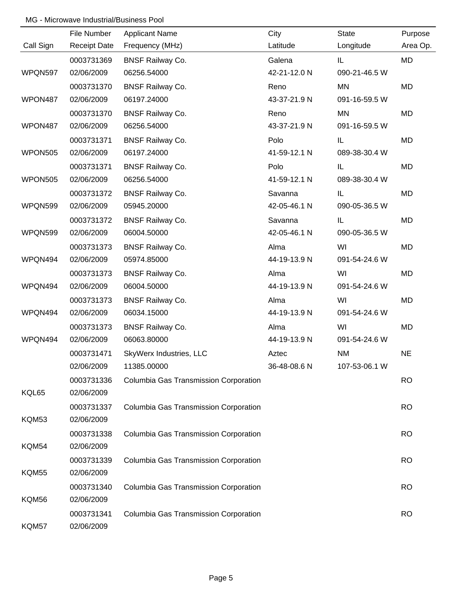|              | File Number              | <b>Applicant Name</b>                 | City         | <b>State</b>  | Purpose   |
|--------------|--------------------------|---------------------------------------|--------------|---------------|-----------|
| Call Sign    | <b>Receipt Date</b>      | Frequency (MHz)                       | Latitude     | Longitude     | Area Op.  |
|              | 0003731369               | <b>BNSF Railway Co.</b>               | Galena       | IL            | MD        |
| WPQN597      | 02/06/2009               | 06256.54000                           | 42-21-12.0 N | 090-21-46.5 W |           |
|              | 0003731370               | <b>BNSF Railway Co.</b>               | Reno         | MN            | <b>MD</b> |
| WPON487      | 02/06/2009               | 06197.24000                           | 43-37-21.9 N | 091-16-59.5 W |           |
|              | 0003731370               | <b>BNSF Railway Co.</b>               | Reno         | MN            | <b>MD</b> |
| WPON487      | 02/06/2009               | 06256.54000                           | 43-37-21.9 N | 091-16-59.5 W |           |
|              | 0003731371               | <b>BNSF Railway Co.</b>               | Polo         | IL            | <b>MD</b> |
| WPON505      | 02/06/2009               | 06197.24000                           | 41-59-12.1 N | 089-38-30.4 W |           |
|              | 0003731371               | <b>BNSF Railway Co.</b>               | Polo         | IL            | <b>MD</b> |
| WPON505      | 02/06/2009               | 06256.54000                           | 41-59-12.1 N | 089-38-30.4 W |           |
|              | 0003731372               | <b>BNSF Railway Co.</b>               | Savanna      | IL            | <b>MD</b> |
| WPQN599      | 02/06/2009               | 05945.20000                           | 42-05-46.1 N | 090-05-36.5 W |           |
|              | 0003731372               | <b>BNSF Railway Co.</b>               | Savanna      | IL.           | <b>MD</b> |
| WPQN599      | 02/06/2009               | 06004.50000                           | 42-05-46.1 N | 090-05-36.5 W |           |
|              | 0003731373               | <b>BNSF Railway Co.</b>               | Alma         | WI            | <b>MD</b> |
| WPQN494      | 02/06/2009               | 05974.85000                           | 44-19-13.9 N | 091-54-24.6 W |           |
|              | 0003731373               | <b>BNSF Railway Co.</b>               | Alma         | WI            | <b>MD</b> |
| WPQN494      | 02/06/2009               | 06004.50000                           | 44-19-13.9 N | 091-54-24.6 W |           |
|              | 0003731373               | <b>BNSF Railway Co.</b>               | Alma         | WI            | MD        |
| WPQN494      | 02/06/2009               | 06034.15000                           | 44-19-13.9 N | 091-54-24.6 W |           |
|              | 0003731373               | <b>BNSF Railway Co.</b>               | Alma         | WI            | <b>MD</b> |
| WPQN494      | 02/06/2009               | 06063.80000                           | 44-19-13.9 N | 091-54-24.6 W |           |
|              | 0003731471               | SkyWerx Industries, LLC               | Aztec        | <b>NM</b>     | <b>NE</b> |
|              | 02/06/2009               | 11385.00000                           | 36-48-08.6 N | 107-53-06.1 W |           |
|              | 0003731336               | Columbia Gas Transmission Corporation |              |               | <b>RO</b> |
| KQL65        | 02/06/2009               |                                       |              |               |           |
|              | 0003731337               | Columbia Gas Transmission Corporation |              |               | <b>RO</b> |
| <b>KQM53</b> | 02/06/2009               |                                       |              |               |           |
|              | 0003731338               | Columbia Gas Transmission Corporation |              |               | <b>RO</b> |
| <b>KQM54</b> | 02/06/2009               |                                       |              |               |           |
|              | 0003731339               | Columbia Gas Transmission Corporation |              |               | <b>RO</b> |
| <b>KQM55</b> | 02/06/2009               |                                       |              |               |           |
|              |                          |                                       |              |               |           |
| <b>KQM56</b> | 0003731340<br>02/06/2009 | Columbia Gas Transmission Corporation |              |               | <b>RO</b> |
|              |                          |                                       |              |               |           |
|              | 0003731341               | Columbia Gas Transmission Corporation |              |               | <b>RO</b> |
| KQM57        | 02/06/2009               |                                       |              |               |           |